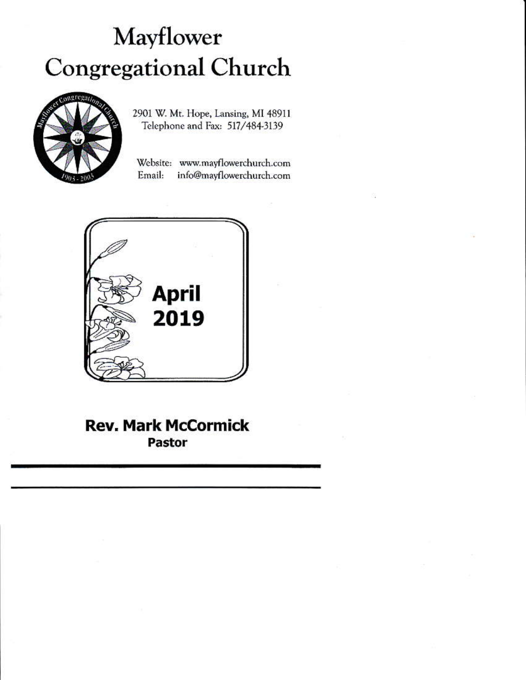# Mayflower **Congregational Church**



2901 W. Mt. Hope, Lansing, MI 48911 Telephone and Fax: 517/484-3139

Website: www.mayflowerchurch.com Email: info@mayflowerchurch.com



**Rev. Mark McCormick Pastor**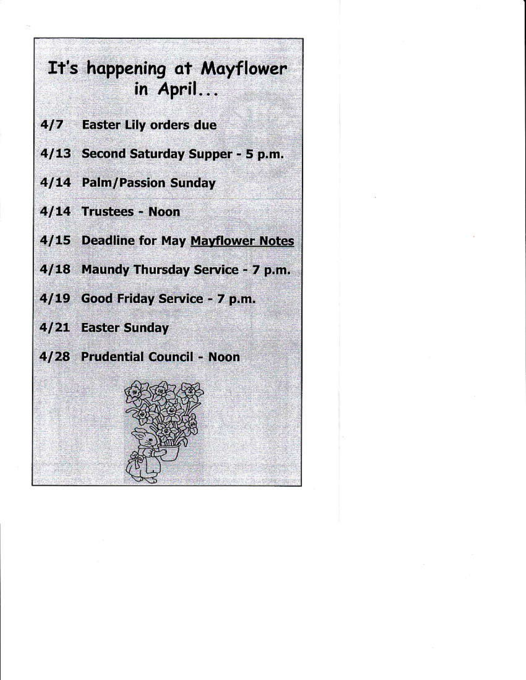# It's happening at Mayflower in April...

- 4/7 Easter Lily orders due
- 4/13 Second Saturday Supper 5 p.m.
- 4/14 Palm/Passion Sunday
- 4/14 Trustees Noon
- 4/15 Deadline for May Mayflower Notes
- 4/18 Maundy Thursday Service 7 p.m.
- 4/19 Good Friday Service 7 p.m.
- 4/21 Easter Sunday
- 4/28 Prudential Council Noon

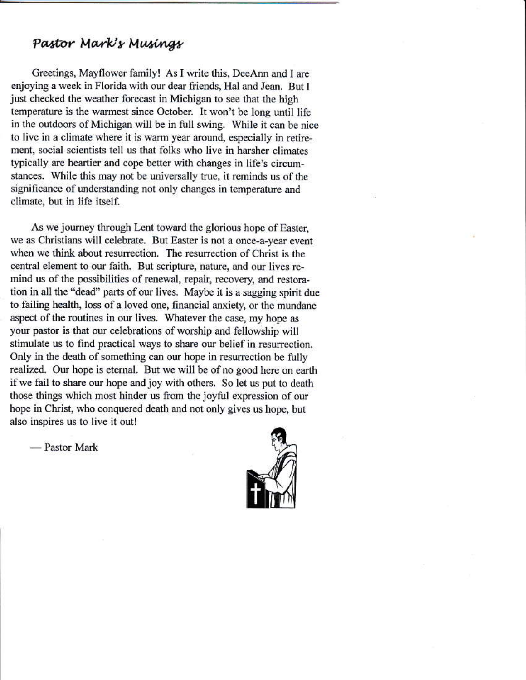### Pastor Mark's Musings

Greetings, Mayflower family! As I write this, DeeAnn and I are enjoying a week in Florida with our dear friends, Hal and Jean. But I just checked the weather forecast in Michigan to see that the high temperature is the warmest since October. It won't be long until life in the outdoors of Michigan will be in full swing. While it can be nice to live in a climate where it is warm year around, especially in retirement, social scientists tell us that folks who live in harsher climates typically are heartier and cope better with changes in life's circumstances. While this may not be universally true, it reminds us of the significance of understanding not only changes in temperature and climate, but in life itself.

As we journey through Lent toward the glorious hope of Easter, we as Christians will celebrate. But Easter is not a once-a-year event when we think about resurrection. The resurrection of Christ is the central element to our faith. But scripture, nature, and our lives remind us of the possibilities of renewal, repair, recovery, and restoration in all the "dead" parts of our lives. Maybe it is a sagging spirit due to failing health, loss of a loved one, financial anxiety, or the mundane aspect of the routines in our lives. Whatever the case, my hope as your pastor is that our celebrations of worship and fellowship will stimulate us to find practical ways to share our belief in resurrection. Only in the death of something can our hope in resurrection be fully realized. Our hope is eternal. But we will be of no good here on earth if we fail to share our hope and joy with others. So let us put to death those things which most hinder us from the joyful expression of our hope in Christ, who conquered death and not only gives us hope, but also inspires us to live it out!

- Pastor Mark

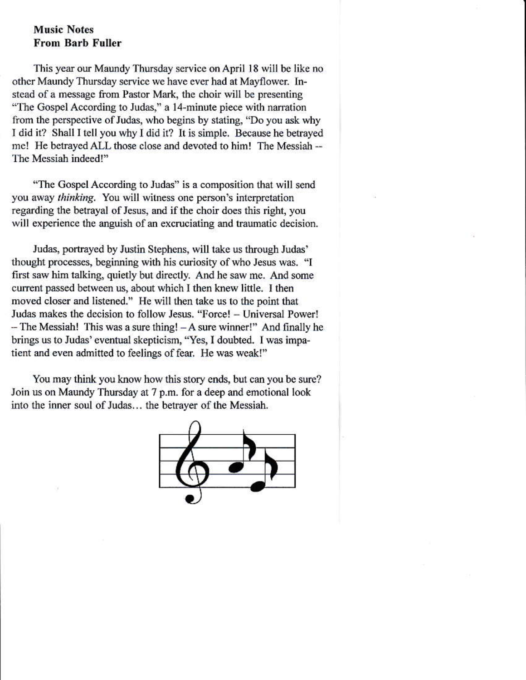#### **Music Notes From Barb Fuller**

This year our Maundy Thursday service on April 18 will be like no other Maundy Thursday service we have ever had at Mayflower. Instead of a message from Pastor Mark, the choir will be presenting "The Gospel According to Judas," a 14-minute piece with narration from the perspective of Judas, who begins by stating, "Do you ask why I did it? Shall I tell you why I did it? It is simple. Because he betrayed me! He betrayed ALL those close and devoted to him! The Messiah --The Messiah indeed!"

"The Gospel According to Judas" is a composition that will send you away thinking. You will witness one person's interpretation regarding the betrayal of Jesus, and if the choir does this right, you will experience the anguish of an excruciating and traumatic decision.

Judas, portrayed by Justin Stephens, will take us through Judas' thought processes, beginning with his curiosity of who Jesus was. "I first saw him talking, quietly but directly. And he saw me. And some current passed between us, about which I then knew little. I then moved closer and listened." He will then take us to the point that Judas makes the decision to follow Jesus. "Force! - Universal Power! - The Messiah! This was a sure thing! - A sure winner!" And finally he brings us to Judas' eventual skepticism, "Yes, I doubted. I was impatient and even admitted to feelings of fear. He was weak!"

You may think you know how this story ends, but can you be sure? Join us on Maundy Thursday at 7 p.m. for a deep and emotional look into the inner soul of Judas... the betraver of the Messiah.

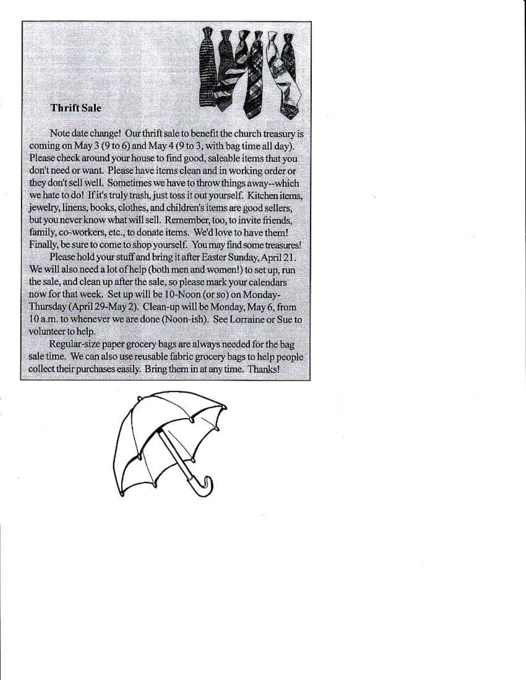#### **Thrift Sale**



Note date change! Our thrift sale to benefit the church treasury is coming on May 3 (9 to 6) and May 4 (9 to 3, with bag time all day). Please check around your house to find good, saleable items that you don't need or want. Please have items clean and in working order or they don't sell well. Sometimes we have to throw things away--which we hate to do! If it's truly trash, just toss it out yourself. Kitchen items, jewelry, linens, books, clothes, and children's items are good sellers, but you never know what will sell. Remember, too, to invite friends, family, co-workers, etc., to donate items. We'd love to have them! Finally, be sure to come to shop yourself. You may find some treasures!

Please hold your stuff and bring it after Easter Sunday, April 21. We will also need a lot of help (both men and women!) to set up, run the sale, and clean up after the sale, so please mark your calendars now for that week. Set up will be 10-Noon (or so) on Monday-Thursday (April 29-May 2). Clean-up will be Monday, May 6, from 10 a.m. to whenever we are done (Noon-ish). See Lorraine or Sue to volunteer to help.

Regular-size paper grocery bags are always needed for the bag sale time. We can also use reusable fabric grocery bags to help people collect their purchases easily. Bring them in at any time. Thanks!

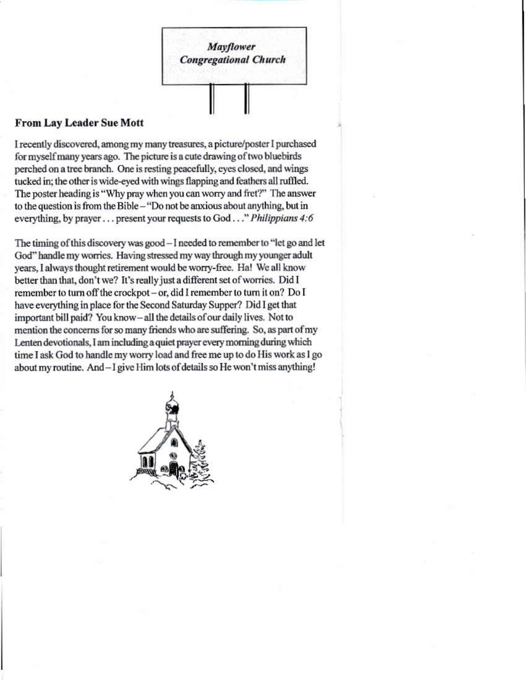

#### **From Lay Leader Sue Mott**

I recently discovered, among my many treasures, a picture/poster I purchased for myself many years ago. The picture is a cute drawing of two bluebirds perched on a tree branch. One is resting peacefully, eyes closed, and wings tucked in; the other is wide-eyed with wings flapping and feathers all ruffled. The poster heading is "Why pray when you can worry and fret?" The answer to the question is from the Bible - "Do not be anxious about anything, but in everything, by prayer . . . present your requests to God . . ." Philippians 4:6

The timing of this discovery was good - I needed to remember to "let go and let God" handle my worries. Having stressed my way through my younger adult years, I always thought retirement would be worry-free. Ha! We all know better than that, don't we? It's really just a different set of worries. Did I remember to turn off the crockpot - or, did I remember to turn it on? Do I have everything in place for the Second Saturday Supper? Did I get that important bill paid? You know-all the details of our daily lives. Not to mention the concerns for so many friends who are suffering. So, as part of my Lenten devotionals, I am including a quiet prayer every morning during which time I ask God to handle my worry load and free me up to do His work as I go about my routine. And - I give Him lots of details so He won't miss anything!

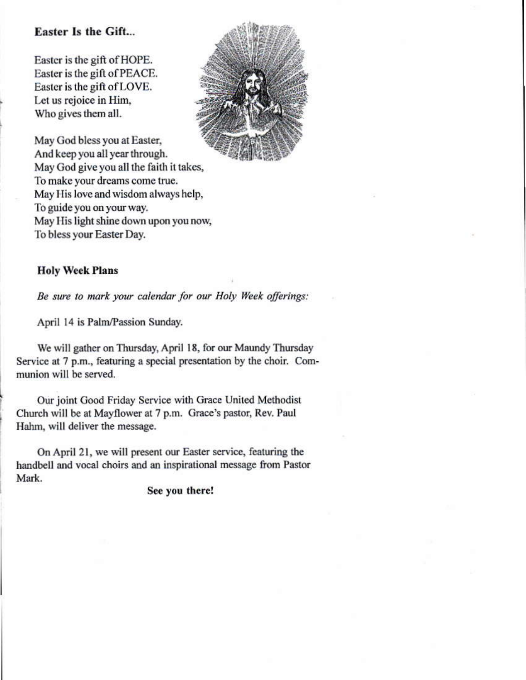#### **Easter Is the Gift...**

Easter is the gift of HOPE. Easter is the gift of PEACE. Easter is the gift of LOVE. Let us rejoice in Him. Who gives them all.



May God bless you at Easter, And keep you all year through. May God give you all the faith it takes, To make your dreams come true. May His love and wisdom always help, To guide you on your way. May His light shine down upon you now, To bless your Easter Day.

#### **Holy Week Plans**

Be sure to mark your calendar for our Holy Week offerings:

April 14 is Palm/Passion Sunday.

We will gather on Thursday, April 18, for our Maundy Thursday Service at 7 p.m., featuring a special presentation by the choir. Communion will be served.

Our joint Good Friday Service with Grace United Methodist Church will be at Mayflower at 7 p.m. Grace's pastor, Rev. Paul Hahm, will deliver the message.

On April 21, we will present our Easter service, featuring the handbell and vocal choirs and an inspirational message from Pastor Mark.

#### See you there!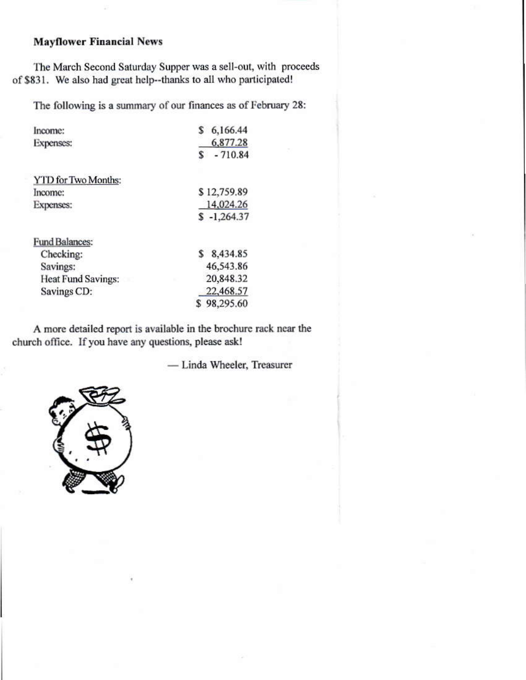#### **Mayflower Financial News**

The March Second Saturday Supper was a sell-out, with proceeds of \$831. We also had great help--thanks to all who participated!

The following is a summary of our finances as of February 28:

| Income:               | 6,166.44      |
|-----------------------|---------------|
| <b>Expenses:</b>      | 6,877.28      |
|                       | $-710.84$     |
| YTD for Two Months:   |               |
| Income:               | \$12,759.89   |
| Expenses:             | 14.024.26     |
|                       | $$ -1,264.37$ |
| <b>Fund Balances:</b> |               |
| Checking:             | \$8,434.85    |
| Savings:              | 46,543.86     |
| Heat Fund Savings:    | 20,848.32     |
| Savings CD:           | 22,468.57     |
|                       | \$98,295.60   |

A more detailed report is available in the brochure rack near the church office. If you have any questions, please ask!

- Linda Wheeler, Treasurer